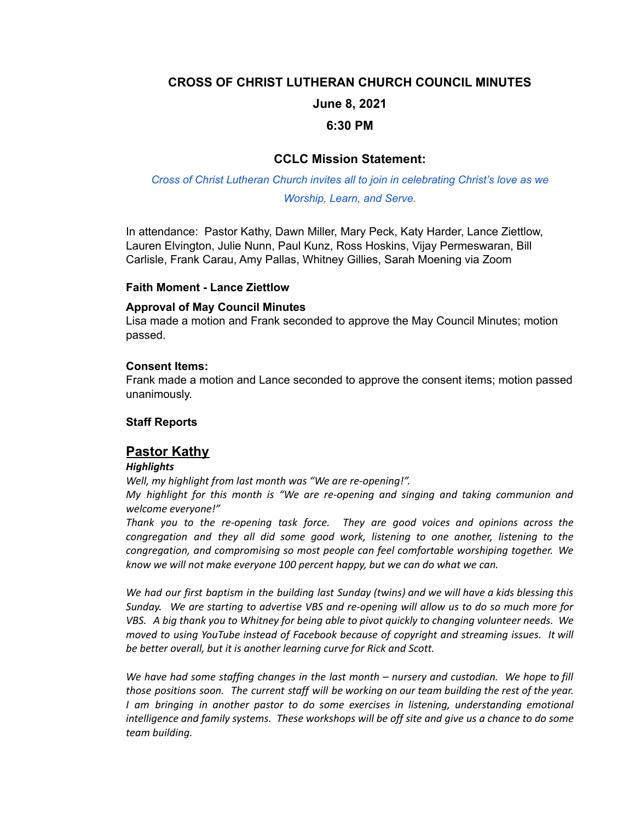## **CROSS OF CHRIST LUTHERAN CHURCH COUNCIL MINUTES**

# **June 8, 2021**

## **6:30 PM**

# **CCLC Mission Statement:**

*Cross of Christ Lutheran Church invites all to join in celebrating Christ's love as we Worship, Learn, and Serve.*

In attendance: Pastor Kathy, Dawn Miller, Mary Peck, Katy Harder, Lance Ziettlow, Lauren Elvington, Julie Nunn, Paul Kunz, Ross Hoskins, Vijay Permeswaran, Bill Carlisle, Frank Carau, Amy Pallas, Whitney Gillies, Sarah Moening via Zoom

## **Faith Moment - Lance Ziettlow**

## **Approval of May Council Minutes**

Lisa made a motion and Frank seconded to approve the May Council Minutes; motion passed.

### **Consent Items:**

Frank made a motion and Lance seconded to approve the consent items; motion passed unanimously.

## **Staff Reports**

# **Pastor Kathy**

### *Highlights*

*Well, my highlight from last month was "We are re-opening!".*

*My highlight for this month is "We are re-opening and singing and taking communion and welcome everyone!"*

*Thank you to the re-opening task force. They are good voices and opinions across the congregation and they all did some good work, listening to one another, listening to the congregation, and compromising so most people can feel comfortable worshiping together. We know we will not make everyone 100 percent happy, but we can do what we can.*

We had our first baptism in the building last Sunday (twins) and we will have a kids blessing this *Sunday. We are starting to advertise VBS and re-opening will allow us to do so much more for VBS. A big thank you to Whitney for being able to pivot quickly to changing volunteer needs. We moved to using YouTube instead of Facebook because of copyright and streaming issues. It will be better overall, but it is another learning curve for Rick and Scott.*

*We have had some staffing changes in the last month – nursery and custodian. We hope to fill those positions soon. The current staff will be working on our team building the rest of the year. I am bringing in another pastor to do some exercises in listening, understanding emotional intelligence and family systems. These workshops will be off site and give us a chance to do some team building.*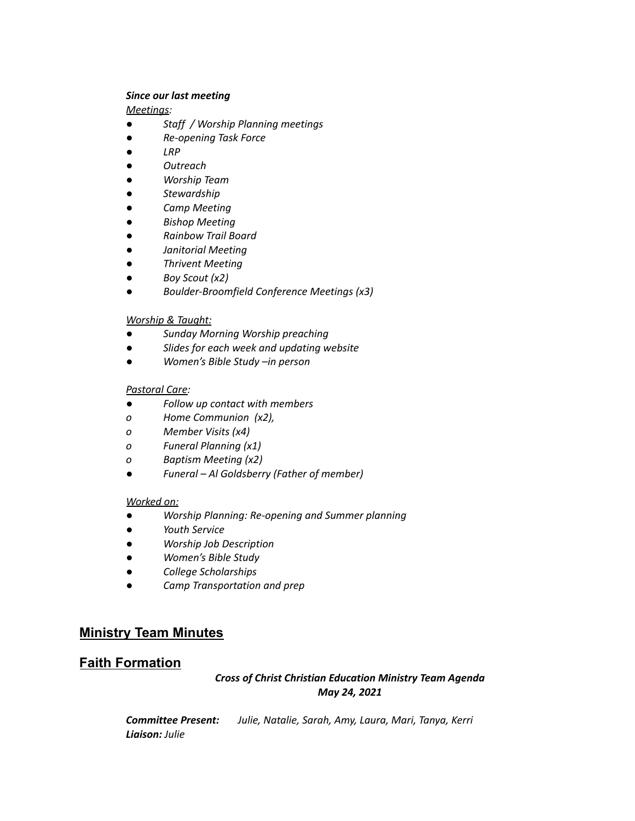#### *Since our last meeting*

*Meetings:*

- *● Staff / Worship Planning meetings*
- *● Re-opening Task Force*
- *● LRP*
- *● Outreach*
- *● Worship Team*
- *● Stewardship*
- *● Camp Meeting*
- *● Bishop Meeting*
- *● Rainbow Trail Board*
- *● Janitorial Meeting*
- *● Thrivent Meeting*
- *● Boy Scout (x2)*
- *● Boulder-Broomfield Conference Meetings (x3)*

### *Worship & Taught:*

- *● Sunday Morning Worship preaching*
- *● Slides for each week and updating website*
- *● Women's Bible Study –in person*

#### *Pastoral Care:*

- *● Follow up contact with members*
- *o Home Communion (x2),*
- *o Member Visits (x4)*
- *o Funeral Planning (x1)*
- *o Baptism Meeting (x2)*
- *● Funeral – Al Goldsberry (Father of member)*

#### *Worked on:*

- *● Worship Planning: Re-opening and Summer planning*
- *● Youth Service*
- *● Worship Job Description*
- *● Women's Bible Study*
- *● College Scholarships*
- *● Camp Transportation and prep*

# **Ministry Team Minutes**

# **Faith Formation**

## *Cross of Christ Christian Education Ministry Team Agenda May 24, 2021*

| <b>Committee Present:</b> | Julie, Natalie, Sarah, Amy, Laura, Mari, Tanya, Kerri |  |
|---------------------------|-------------------------------------------------------|--|
| <b>Liaison:</b> Julie     |                                                       |  |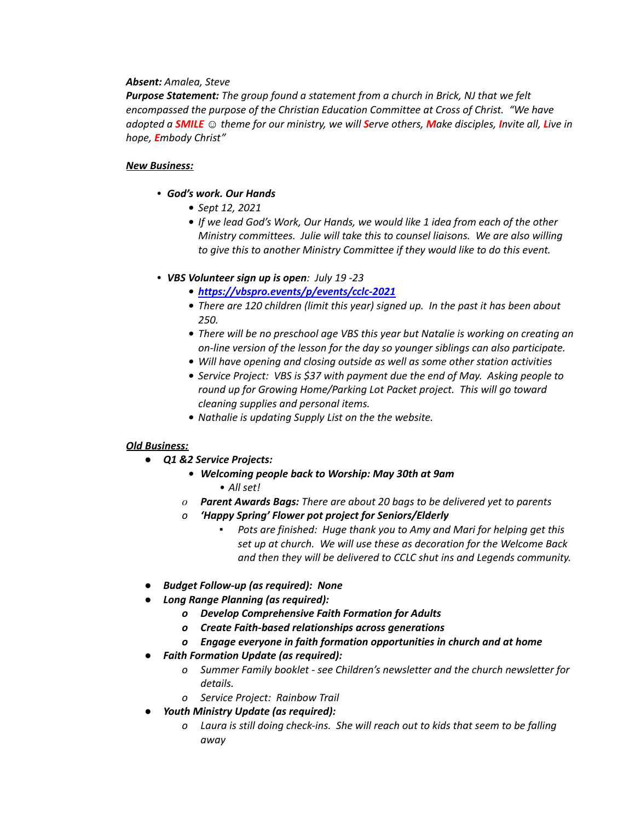### *Absent: Amalea, Steve*

*Purpose Statement: The group found a statement from a church in Brick, NJ that we felt encompassed the purpose of the Christian Education Committee at Cross of Christ. "We have* adopted a **SMILE**  $\odot$  theme for our ministry, we will **Serve others, Make disciples, Invite all, Live in** *hope, Embody Christ"*

#### *New Business:*

- *• God's work. Our Hands*
	- *• Sept 12, 2021*
	- *• If we lead God's Work, Our Hands, we would like 1 idea from each of the other Ministry committees. Julie will take this to counsel liaisons. We are also willing to give this to another Ministry Committee if they would like to do this event.*
- *• VBS Volunteer sign up is open: July 19 -23*
	- *• <https://vbspro.events/p/events/cclc-2021>*
	- *• There are 120 children (limit this year) signed up. In the past it has been about 250.*
	- *• There will be no preschool age VBS this year but Natalie is working on creating an on-line version of the lesson for the day so younger siblings can also participate.*
	- *• Will have opening and closing outside as well as some other station activities*
	- *• Service Project: VBS is \$37 with payment due the end of May. Asking people to round up for Growing Home/Parking Lot Packet project. This will go toward cleaning supplies and personal items.*
	- *• Nathalie is updating Supply List on the the website.*

### *Old Business:*

- *● Q1 &2 Service Projects:*
	- *• Welcoming people back to Worship: May 30th at 9am • All set!*
	- *o Parent Awards Bags: There are about 20 bags to be delivered yet to parents*
	- *o 'Happy Spring' Flower pot project for Seniors/Elderly*
		- *▪ Pots are finished: Huge thank you to Amy and Mari for helping get this set up at church. We will use these as decoration for the Welcome Back and then they will be delivered to CCLC shut ins and Legends community.*
- *● Budget Follow-up (as required): None*
- *● Long Range Planning (as required):*
	- *o Develop Comprehensive Faith Formation for Adults*
	- *o Create Faith-based relationships across generations*
	- *o Engage everyone in faith formation opportunities in church and at home*
- *● Faith Formation Update (as required):*
	- *o Summer Family booklet - see Children's newsletter and the church newsletter for details.*
	- *o Service Project: Rainbow Trail*
	- *● Youth Ministry Update (as required):*
		- *o Laura is still doing check-ins. She will reach out to kids that seem to be falling away*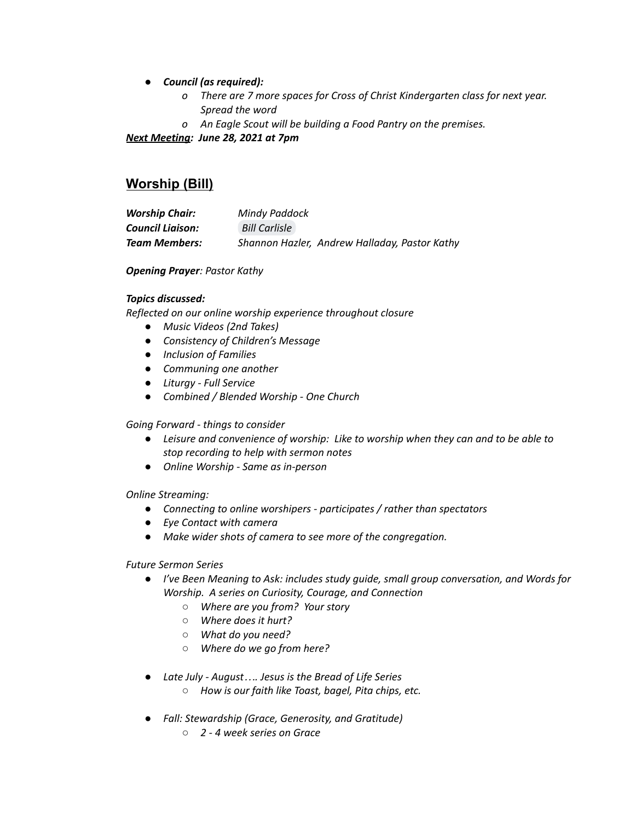- *● Council (as required):*
	- *o There are 7 more spaces for Cross of Christ Kindergarten class for next year. Spread the word*
	- *o An Eagle Scout will be building a Food Pantry on the premises.*

*Next Meeting: June 28, 2021 at 7pm*

# **Worship (Bill)**

| <b>Worship Chair:</b>   | Mindy Paddock                                 |
|-------------------------|-----------------------------------------------|
| <b>Council Liaison:</b> | <b>Bill Carlisle</b>                          |
| <b>Team Members:</b>    | Shannon Hazler, Andrew Halladay, Pastor Kathy |

### *Opening Prayer: Pastor Kathy*

### *Topics discussed:*

*Reflected on our online worship experience throughout closure*

- *● Music Videos (2nd Takes)*
- *● Consistency of Children's Message*
- *● Inclusion of Families*
- *● Communing one another*
- *● Liturgy - Full Service*
- *● Combined / Blended Worship - One Church*

### *Going Forward - things to consider*

- *● Leisure and convenience of worship: Like to worship when they can and to be able to stop recording to help with sermon notes*
- *● Online Worship - Same as in-person*

### *Online Streaming:*

- *● Connecting to online worshipers - participates / rather than spectators*
- *● Eye Contact with camera*
- *● Make wider shots of camera to see more of the congregation.*

### *Future Sermon Series*

- *● I've Been Meaning to Ask: includes study guide, small group conversation, and Words for Worship. A series on Curiosity, Courage, and Connection*
	- *○ Where are you from? Your story*
	- *○ Where does it hurt?*
	- *○ What do you need?*
	- *○ Where do we go from here?*
- *● Late July - August…. Jesus is the Bread of Life Series*
	- *○ How is our faith like Toast, bagel, Pita chips, etc.*
- *● Fall: Stewardship (Grace, Generosity, and Gratitude)*
	- *○ 2 - 4 week series on Grace*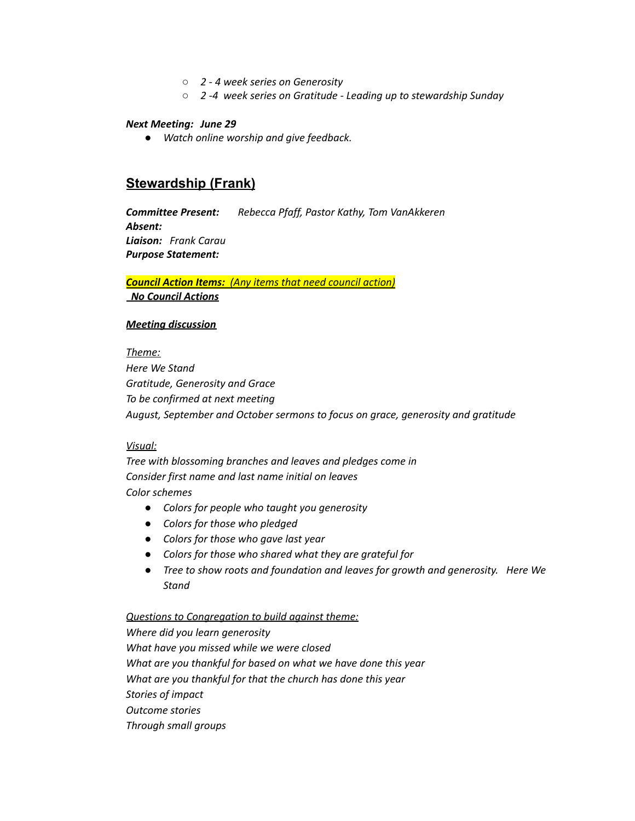- *○ 2 - 4 week series on Generosity*
- *○ 2 -4 week series on Gratitude - Leading up to stewardship Sunday*

#### *Next Meeting: June 29*

*● Watch online worship and give feedback.*

## **Stewardship (Frank)**

*Committee Present: Rebecca Pfaff, Pastor Kathy, Tom VanAkkeren Absent: Liaison: Frank Carau Purpose Statement:*

## *Council Action Items: (Any items that need council action) No Council Actions*

#### *Meeting discussion*

#### *Theme:*

*Here We Stand Gratitude, Generosity and Grace To be confirmed at next meeting August, September and October sermons to focus on grace, generosity and gratitude*

#### *Visual:*

*Tree with blossoming branches and leaves and pledges come in Consider first name and last name initial on leaves Color schemes*

- *● Colors for people who taught you generosity*
- *● Colors for those who pledged*
- *● Colors for those who gave last year*
- *● Colors for those who shared what they are grateful for*
- *● Tree to show roots and foundation and leaves for growth and generosity. Here We Stand*

#### *Questions to Congregation to build against theme:*

*Where did you learn generosity What have you missed while we were closed What are you thankful for based on what we have done this year What are you thankful for that the church has done this year Stories of impact Outcome stories Through small groups*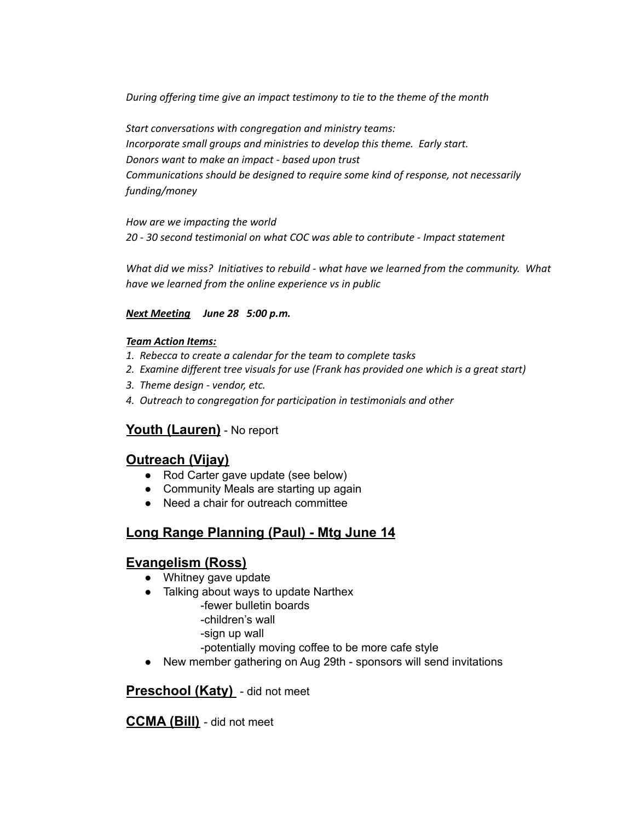*During offering time give an impact testimony to tie to the theme of the month*

*Start conversations with congregation and ministry teams: Incorporate small groups and ministries to develop this theme. Early start. Donors want to make an impact - based upon trust Communications should be designed to require some kind of response, not necessarily funding/money*

*How are we impacting the world*

*20 - 30 second testimonial on what COC was able to contribute - Impact statement*

*What did we miss? Initiatives to rebuild - what have we learned from the community. What have we learned from the online experience vs in public*

## *Next Meeting June 28 5:00 p.m.*

## *Team Action Items:*

- *1. Rebecca to create a calendar for the team to complete tasks*
- *2. Examine different tree visuals for use (Frank has provided one which is a great start)*
- *3. Theme design - vendor, etc.*
- *4. Outreach to congregation for participation in testimonials and other*

# **Youth (Lauren)** - No report

# **Outreach (Vijay)**

- Rod Carter gave update (see below)
- Community Meals are starting up again
- Need a chair for outreach committee

# **Long Range Planning (Paul) - Mtg June 14**

# **Evangelism (Ross)**

- Whitney gave update
- Talking about ways to update Narthex
	- -fewer bulletin boards
	- -children's wall
	- -sign up wall
	- -potentially moving coffee to be more cafe style
- New member gathering on Aug 29th sponsors will send invitations

**Preschool (Katy)** - did not meet

**CCMA (Bill)** - did not meet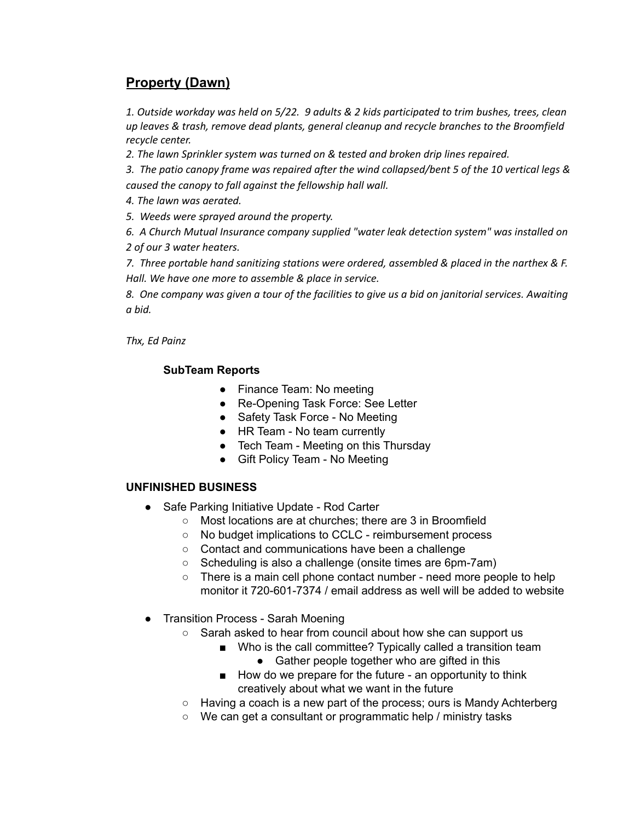# **Property (Dawn)**

*1. Outside workday was held on 5/22. 9 adults & 2 kids participated to trim bushes, trees, clean up leaves & trash, remove dead plants, general cleanup and recycle branches to the Broomfield recycle center.*

*2. The lawn Sprinkler system was turned on & tested and broken drip lines repaired.*

*3. The patio canopy frame was repaired after the wind collapsed/bent 5 of the 10 vertical legs & caused the canopy to fall against the fellowship hall wall.*

*4. The lawn was aerated.*

*5. Weeds were sprayed around the property.*

*6. A Church Mutual Insurance company supplied "water leak detection system" was installed on 2 of our 3 water heaters.*

*7. Three portable hand sanitizing stations were ordered, assembled & placed in the narthex & F. Hall. We have one more to assemble & place in service.*

8. One company was given a tour of the facilities to give us a bid on janitorial services. Awaiting *a bid.*

*Thx, Ed Painz*

## **SubTeam Reports**

- Finance Team: No meeting
- Re-Opening Task Force: See Letter
- Safety Task Force No Meeting
- HR Team No team currently
- Tech Team Meeting on this Thursday
- Gift Policy Team No Meeting

## **UNFINISHED BUSINESS**

- Safe Parking Initiative Update Rod Carter
	- Most locations are at churches; there are 3 in Broomfield
	- No budget implications to CCLC reimbursement process
	- Contact and communications have been a challenge
	- Scheduling is also a challenge (onsite times are 6pm-7am)
	- There is a main cell phone contact number need more people to help monitor it 720-601-7374 / email address as well will be added to website
- Transition Process Sarah Moening
	- Sarah asked to hear from council about how she can support us
		- Who is the call committee? Typically called a transition team
			- Gather people together who are gifted in this
		- How do we prepare for the future an opportunity to think creatively about what we want in the future
	- Having a coach is a new part of the process; ours is Mandy Achterberg
	- We can get a consultant or programmatic help / ministry tasks